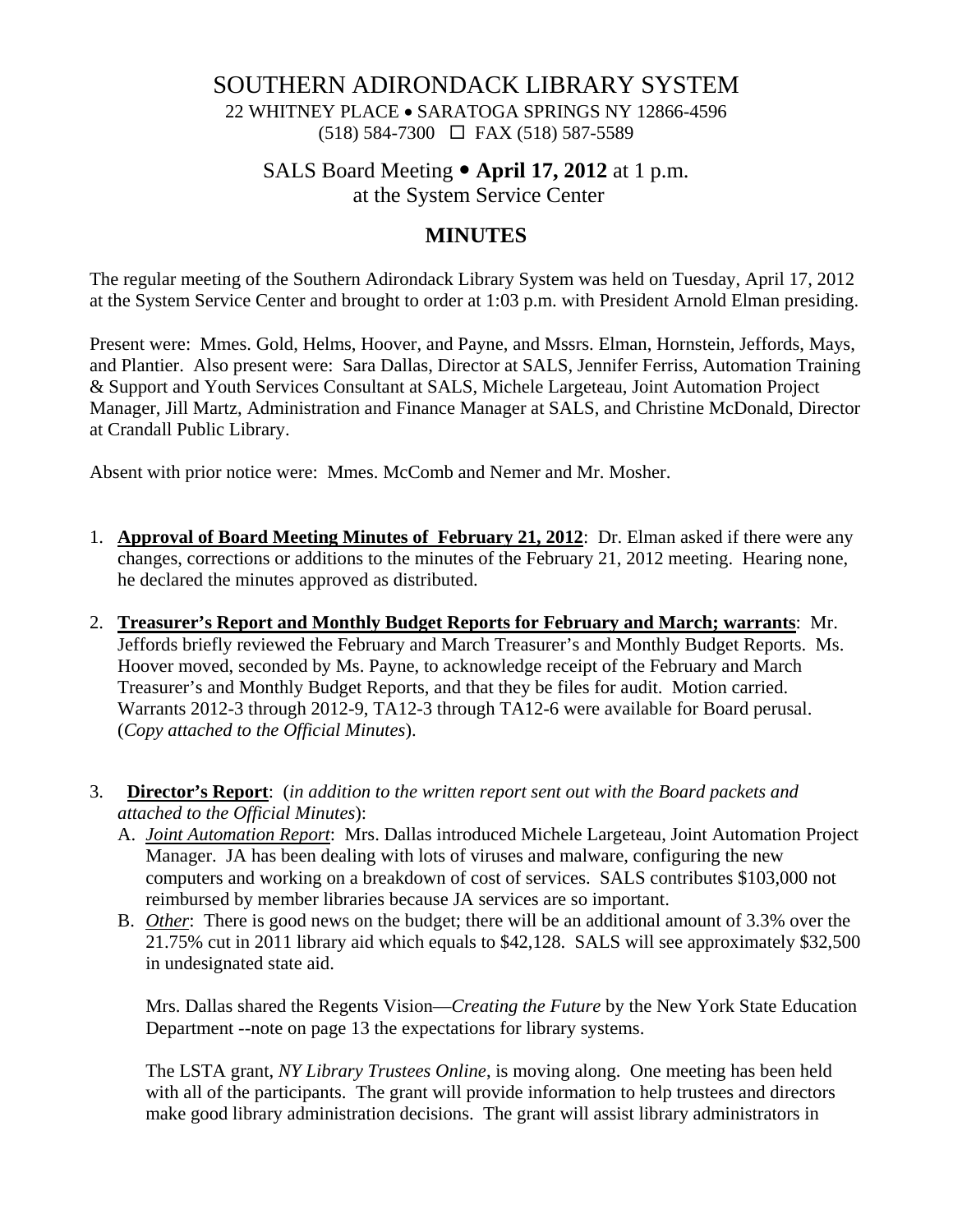# SOUTHERN ADIRONDACK LIBRARY SYSTEM

22 WHITNEY PLACE • SARATOGA SPRINGS NY 12866-4596 (518) 584-7300 FAX (518) 587-5589

# SALS Board Meeting y **April 17, 2012** at 1 p.m.

at the System Service Center

# **MINUTES**

The regular meeting of the Southern Adirondack Library System was held on Tuesday, April 17, 2012 at the System Service Center and brought to order at 1:03 p.m. with President Arnold Elman presiding.

Present were: Mmes. Gold, Helms, Hoover, and Payne, and Mssrs. Elman, Hornstein, Jeffords, Mays, and Plantier. Also present were: Sara Dallas, Director at SALS, Jennifer Ferriss, Automation Training & Support and Youth Services Consultant at SALS, Michele Largeteau, Joint Automation Project Manager, Jill Martz, Administration and Finance Manager at SALS, and Christine McDonald, Director at Crandall Public Library.

Absent with prior notice were: Mmes. McComb and Nemer and Mr. Mosher.

- 1. **Approval of Board Meeting Minutes of February 21, 2012**: Dr. Elman asked if there were any changes, corrections or additions to the minutes of the February 21, 2012 meeting. Hearing none, he declared the minutes approved as distributed.
- 2. **Treasurer's Report and Monthly Budget Reports for February and March; warrants**: Mr. Jeffords briefly reviewed the February and March Treasurer's and Monthly Budget Reports. Ms. Hoover moved, seconded by Ms. Payne, to acknowledge receipt of the February and March Treasurer's and Monthly Budget Reports, and that they be files for audit. Motion carried. Warrants 2012-3 through 2012-9, TA12-3 through TA12-6 were available for Board perusal. (*Copy attached to the Official Minutes*).
- 3. **Director's Report**: (*in addition to the written report sent out with the Board packets and attached to the Official Minutes*):
	- A. *Joint Automation Report*: Mrs. Dallas introduced Michele Largeteau, Joint Automation Project Manager. JA has been dealing with lots of viruses and malware, configuring the new computers and working on a breakdown of cost of services. SALS contributes \$103,000 not reimbursed by member libraries because JA services are so important.
	- B. *Other*: There is good news on the budget; there will be an additional amount of 3.3% over the 21.75% cut in 2011 library aid which equals to \$42,128. SALS will see approximately \$32,500 in undesignated state aid.

Mrs. Dallas shared the Regents Vision—*Creating the Future* by the New York State Education Department --note on page 13 the expectations for library systems.

The LSTA grant, *NY Library Trustees Online*, is moving along. One meeting has been held with all of the participants. The grant will provide information to help trustees and directors make good library administration decisions. The grant will assist library administrators in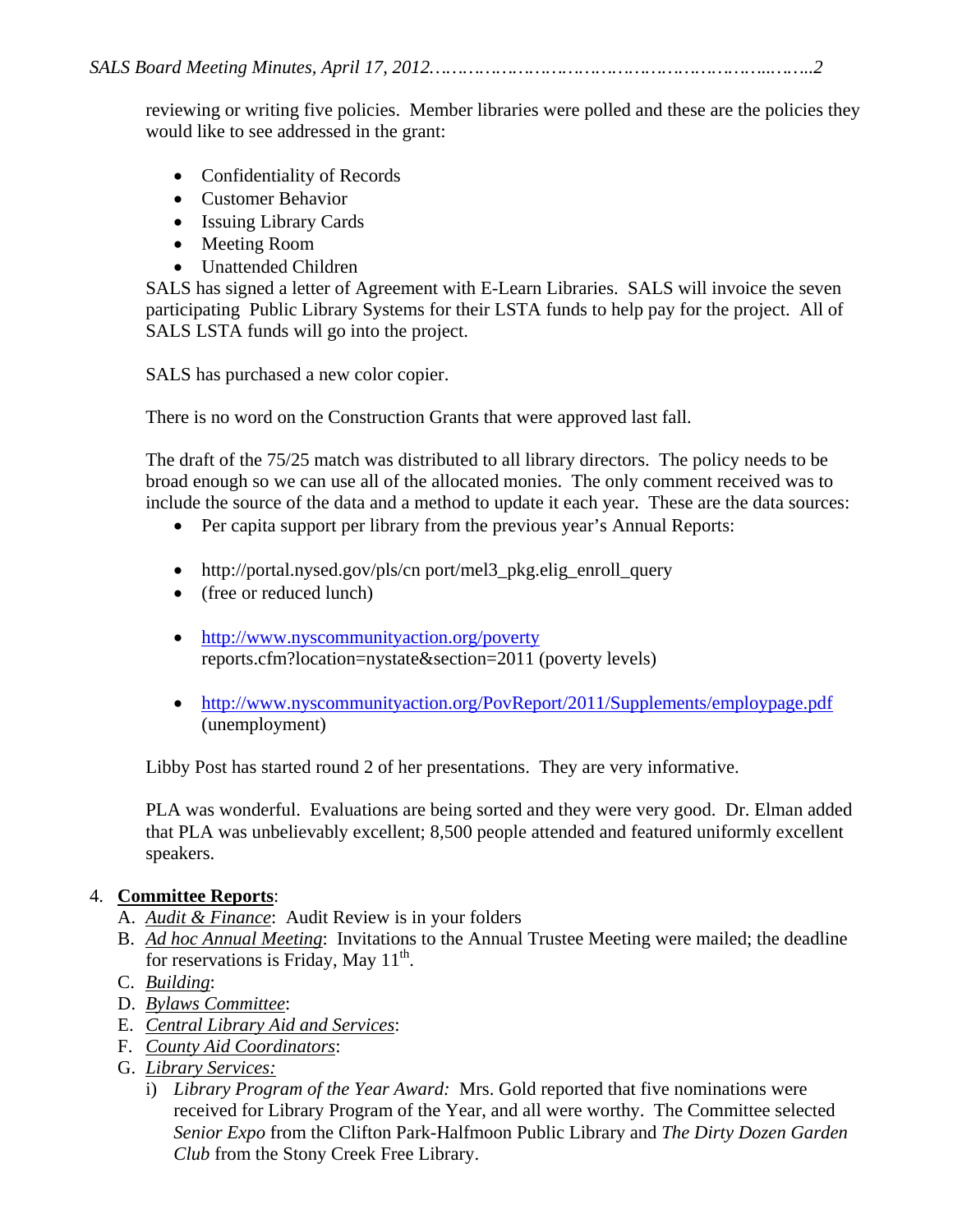reviewing or writing five policies. Member libraries were polled and these are the policies they would like to see addressed in the grant:

- Confidentiality of Records
- Customer Behavior
- Issuing Library Cards
- Meeting Room
- Unattended Children

SALS has signed a letter of Agreement with E-Learn Libraries. SALS will invoice the seven participating Public Library Systems for their LSTA funds to help pay for the project. All of SALS LSTA funds will go into the project.

SALS has purchased a new color copier.

There is no word on the Construction Grants that were approved last fall.

The draft of the 75/25 match was distributed to all library directors. The policy needs to be broad enough so we can use all of the allocated monies. The only comment received was to include the source of the data and a method to update it each year. These are the data sources:

- Per capita support per library from the previous year's Annual Reports:
- http://portal.nysed.gov/pls/cn port/mel3\_pkg.elig\_enroll\_query
- (free or reduced lunch)
- http://www.nyscommunityaction.org/poverty reports.cfm?location=nystate&section=2011 (poverty levels)
- http://www.nyscommunityaction.org/PovReport/2011/Supplements/employpage.pdf (unemployment)

Libby Post has started round 2 of her presentations. They are very informative.

PLA was wonderful. Evaluations are being sorted and they were very good. Dr. Elman added that PLA was unbelievably excellent; 8,500 people attended and featured uniformly excellent speakers.

## 4. **Committee Reports**:

- A. *Audit & Finance*: Audit Review is in your folders
- B. *Ad hoc Annual Meeting*: Invitations to the Annual Trustee Meeting were mailed; the deadline for reservations is Friday, May  $11^{th}$ .
- C. *Building*:
- D. *Bylaws Committee*:
- E. *Central Library Aid and Services*:
- F. *County Aid Coordinators*:
- G. *Library Services:* 
	- i) *Library Program of the Year Award:* Mrs. Gold reported that five nominations were received for Library Program of the Year, and all were worthy. The Committee selected *Senior Expo* from the Clifton Park-Halfmoon Public Library and *The Dirty Dozen Garden Club* from the Stony Creek Free Library.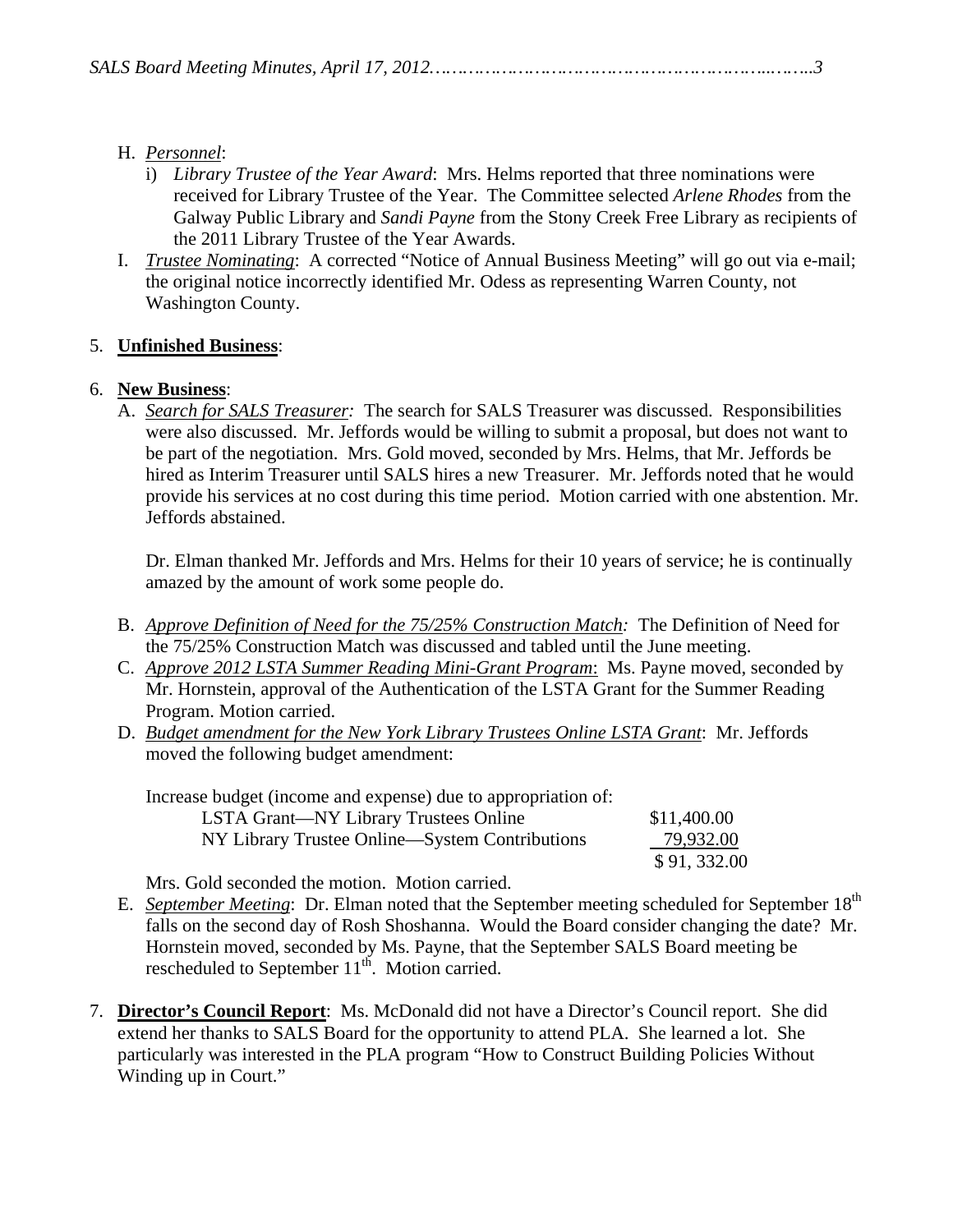|--|--|

#### H. *Personnel*:

- i) *Library Trustee of the Year Award*: Mrs. Helms reported that three nominations were received for Library Trustee of the Year. The Committee selected *Arlene Rhodes* from the Galway Public Library and *Sandi Payne* from the Stony Creek Free Library as recipients of the 2011 Library Trustee of the Year Awards.
- I. *Trustee Nominating*: A corrected "Notice of Annual Business Meeting" will go out via e-mail; the original notice incorrectly identified Mr. Odess as representing Warren County, not Washington County.

## 5. **Unfinished Business**:

## 6. **New Business**:

A. *Search for SALS Treasurer:* The search for SALS Treasurer was discussed. Responsibilities were also discussed. Mr. Jeffords would be willing to submit a proposal, but does not want to be part of the negotiation. Mrs. Gold moved, seconded by Mrs. Helms, that Mr. Jeffords be hired as Interim Treasurer until SALS hires a new Treasurer. Mr. Jeffords noted that he would provide his services at no cost during this time period. Motion carried with one abstention. Mr. Jeffords abstained.

Dr. Elman thanked Mr. Jeffords and Mrs. Helms for their 10 years of service; he is continually amazed by the amount of work some people do.

- B. *Approve Definition of Need for the 75/25% Construction Match:* The Definition of Need for the 75/25% Construction Match was discussed and tabled until the June meeting.
- C. *Approve 2012 LSTA Summer Reading Mini-Grant Program*: Ms. Payne moved, seconded by Mr. Hornstein, approval of the Authentication of the LSTA Grant for the Summer Reading Program. Motion carried.
- D. *Budget amendment for the New York Library Trustees Online LSTA Grant*: Mr. Jeffords moved the following budget amendment:

| Increase budget (income and expense) due to appropriation of: |             |
|---------------------------------------------------------------|-------------|
| LSTA Grant—NY Library Trustees Online                         | \$11,400.00 |
| NY Library Trustee Online—System Contributions                | 79,932.00   |
|                                                               | \$91,332.00 |

Mrs. Gold seconded the motion. Motion carried.

- E. *September Meeting*: Dr. Elman noted that the September meeting scheduled for September 18th falls on the second day of Rosh Shoshanna. Would the Board consider changing the date? Mr. Hornstein moved, seconded by Ms. Payne, that the September SALS Board meeting be rescheduled to September  $11^{th}$ . Motion carried.
- 7. **Director's Council Report**: Ms. McDonald did not have a Director's Council report. She did extend her thanks to SALS Board for the opportunity to attend PLA. She learned a lot. She particularly was interested in the PLA program "How to Construct Building Policies Without Winding up in Court."